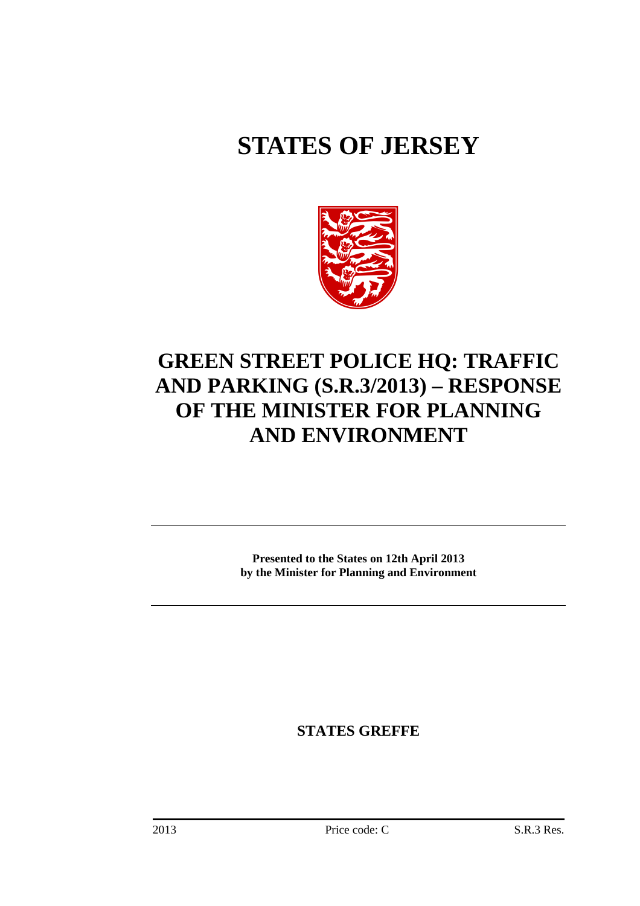# **STATES OF JERSEY**



## **GREEN STREET POLICE HQ: TRAFFIC AND PARKING (S.R.3/2013) – RESPONSE OF THE MINISTER FOR PLANNING AND ENVIRONMENT**

**Presented to the States on 12th April 2013 by the Minister for Planning and Environment** 

**STATES GREFFE**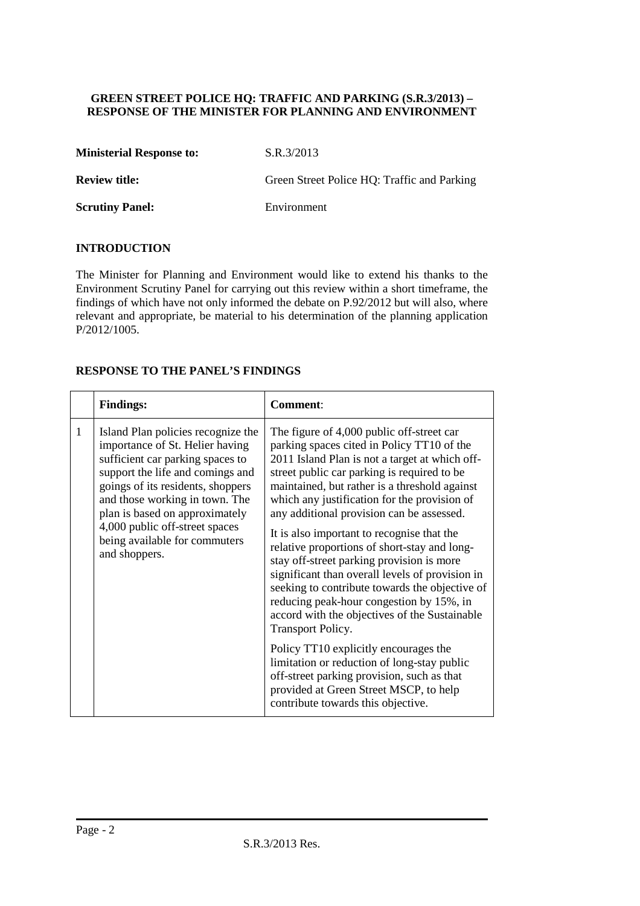#### **GREEN STREET POLICE HQ: TRAFFIC AND PARKING (S.R.3/2013) – RESPONSE OF THE MINISTER FOR PLANNING AND ENVIRONMENT**

**Ministerial Response to:** S.R.3/2013

**Review title:** Green Street Police HQ: Traffic and Parking

**Scrutiny Panel:** Environment

#### **INTRODUCTION**

The Minister for Planning and Environment would like to extend his thanks to the Environment Scrutiny Panel for carrying out this review within a short timeframe, the findings of which have not only informed the debate on P.92/2012 but will also, where relevant and appropriate, be material to his determination of the planning application P/2012/1005.

#### **RESPONSE TO THE PANEL'S FINDINGS**

|   | <b>Findings:</b>                                                                                                                                                                                                                                                                                                                           | <b>Comment:</b>                                                                                                                                                                                                                                                                                                                                                                                                                                                                                                                                                                                                                                                                                                                                                                                                                                                                                                                |  |
|---|--------------------------------------------------------------------------------------------------------------------------------------------------------------------------------------------------------------------------------------------------------------------------------------------------------------------------------------------|--------------------------------------------------------------------------------------------------------------------------------------------------------------------------------------------------------------------------------------------------------------------------------------------------------------------------------------------------------------------------------------------------------------------------------------------------------------------------------------------------------------------------------------------------------------------------------------------------------------------------------------------------------------------------------------------------------------------------------------------------------------------------------------------------------------------------------------------------------------------------------------------------------------------------------|--|
| 1 | Island Plan policies recognize the<br>importance of St. Helier having<br>sufficient car parking spaces to<br>support the life and comings and<br>goings of its residents, shoppers<br>and those working in town. The<br>plan is based on approximately<br>4,000 public off-street spaces<br>being available for commuters<br>and shoppers. | The figure of 4,000 public off-street car<br>parking spaces cited in Policy TT10 of the<br>2011 Island Plan is not a target at which off-<br>street public car parking is required to be<br>maintained, but rather is a threshold against<br>which any justification for the provision of<br>any additional provision can be assessed.<br>It is also important to recognise that the<br>relative proportions of short-stay and long-<br>stay off-street parking provision is more<br>significant than overall levels of provision in<br>seeking to contribute towards the objective of<br>reducing peak-hour congestion by 15%, in<br>accord with the objectives of the Sustainable<br>Transport Policy.<br>Policy TT10 explicitly encourages the<br>limitation or reduction of long-stay public<br>off-street parking provision, such as that<br>provided at Green Street MSCP, to help<br>contribute towards this objective. |  |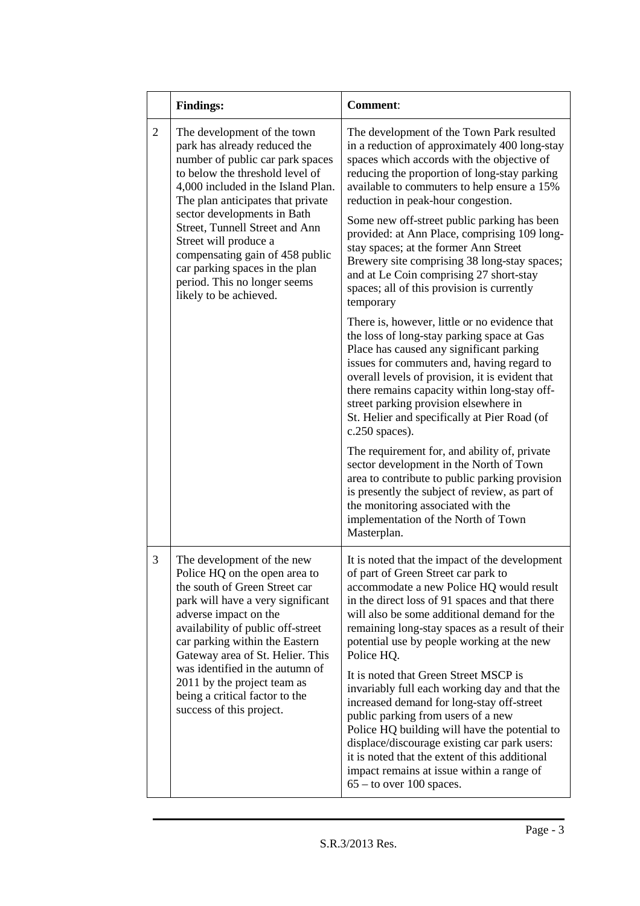|   | <b>Findings:</b>                                                                                                                                                                                                                                                                                                                                                                                                                       | <b>Comment:</b>                                                                                                                                                                                                                                                                                                                                                                                                                                                                                                                                                                                                                                                                                                                                                                                                                                                                                                                                                                                                                                                                                                                                                                                                                                                                 |
|---|----------------------------------------------------------------------------------------------------------------------------------------------------------------------------------------------------------------------------------------------------------------------------------------------------------------------------------------------------------------------------------------------------------------------------------------|---------------------------------------------------------------------------------------------------------------------------------------------------------------------------------------------------------------------------------------------------------------------------------------------------------------------------------------------------------------------------------------------------------------------------------------------------------------------------------------------------------------------------------------------------------------------------------------------------------------------------------------------------------------------------------------------------------------------------------------------------------------------------------------------------------------------------------------------------------------------------------------------------------------------------------------------------------------------------------------------------------------------------------------------------------------------------------------------------------------------------------------------------------------------------------------------------------------------------------------------------------------------------------|
| 2 | The development of the town<br>park has already reduced the<br>number of public car park spaces<br>to below the threshold level of<br>4,000 included in the Island Plan.<br>The plan anticipates that private<br>sector developments in Bath<br>Street, Tunnell Street and Ann<br>Street will produce a<br>compensating gain of 458 public<br>car parking spaces in the plan<br>period. This no longer seems<br>likely to be achieved. | The development of the Town Park resulted<br>in a reduction of approximately 400 long-stay<br>spaces which accords with the objective of<br>reducing the proportion of long-stay parking<br>available to commuters to help ensure a 15%<br>reduction in peak-hour congestion.<br>Some new off-street public parking has been<br>provided: at Ann Place, comprising 109 long-<br>stay spaces; at the former Ann Street<br>Brewery site comprising 38 long-stay spaces;<br>and at Le Coin comprising 27 short-stay<br>spaces; all of this provision is currently<br>temporary<br>There is, however, little or no evidence that<br>the loss of long-stay parking space at Gas<br>Place has caused any significant parking<br>issues for commuters and, having regard to<br>overall levels of provision, it is evident that<br>there remains capacity within long-stay off-<br>street parking provision elsewhere in<br>St. Helier and specifically at Pier Road (of<br>$c.250$ spaces).<br>The requirement for, and ability of, private<br>sector development in the North of Town<br>area to contribute to public parking provision<br>is presently the subject of review, as part of<br>the monitoring associated with the<br>implementation of the North of Town<br>Masterplan. |
| 3 | The development of the new<br>Police HQ on the open area to<br>the south of Green Street car<br>park will have a very significant<br>adverse impact on the<br>availability of public off-street<br>car parking within the Eastern<br>Gateway area of St. Helier. This<br>was identified in the autumn of<br>2011 by the project team as<br>being a critical factor to the<br>success of this project.                                  | It is noted that the impact of the development<br>of part of Green Street car park to<br>accommodate a new Police HQ would result<br>in the direct loss of 91 spaces and that there<br>will also be some additional demand for the<br>remaining long-stay spaces as a result of their<br>potential use by people working at the new<br>Police HQ.<br>It is noted that Green Street MSCP is<br>invariably full each working day and that the<br>increased demand for long-stay off-street<br>public parking from users of a new<br>Police HQ building will have the potential to<br>displace/discourage existing car park users:<br>it is noted that the extent of this additional<br>impact remains at issue within a range of<br>$65 -$ to over 100 spaces.                                                                                                                                                                                                                                                                                                                                                                                                                                                                                                                    |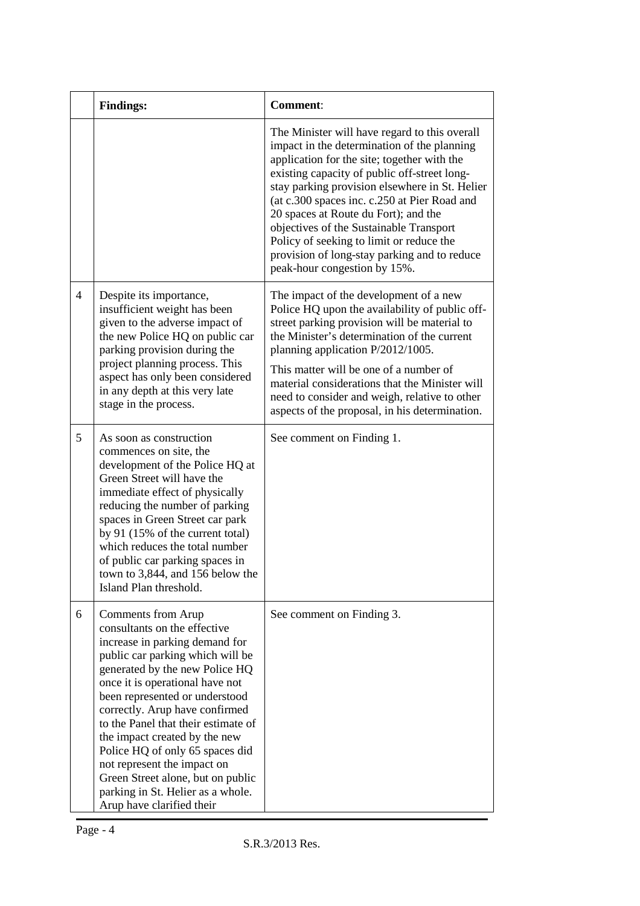|                | <b>Findings:</b>                                                                                                                                                                                                                                                                                                                                                                                                                                                                                                   | <b>Comment:</b>                                                                                                                                                                                                                                                                                                                                                                                                                                                                                              |
|----------------|--------------------------------------------------------------------------------------------------------------------------------------------------------------------------------------------------------------------------------------------------------------------------------------------------------------------------------------------------------------------------------------------------------------------------------------------------------------------------------------------------------------------|--------------------------------------------------------------------------------------------------------------------------------------------------------------------------------------------------------------------------------------------------------------------------------------------------------------------------------------------------------------------------------------------------------------------------------------------------------------------------------------------------------------|
|                |                                                                                                                                                                                                                                                                                                                                                                                                                                                                                                                    | The Minister will have regard to this overall<br>impact in the determination of the planning<br>application for the site; together with the<br>existing capacity of public off-street long-<br>stay parking provision elsewhere in St. Helier<br>(at c.300 spaces inc. c.250 at Pier Road and<br>20 spaces at Route du Fort); and the<br>objectives of the Sustainable Transport<br>Policy of seeking to limit or reduce the<br>provision of long-stay parking and to reduce<br>peak-hour congestion by 15%. |
| $\overline{4}$ | Despite its importance,<br>insufficient weight has been<br>given to the adverse impact of<br>the new Police HQ on public car<br>parking provision during the<br>project planning process. This<br>aspect has only been considered<br>in any depth at this very late<br>stage in the process.                                                                                                                                                                                                                       | The impact of the development of a new<br>Police HQ upon the availability of public off-<br>street parking provision will be material to<br>the Minister's determination of the current<br>planning application P/2012/1005.<br>This matter will be one of a number of<br>material considerations that the Minister will<br>need to consider and weigh, relative to other<br>aspects of the proposal, in his determination.                                                                                  |
| 5              | As soon as construction<br>commences on site, the<br>development of the Police HQ at<br>Green Street will have the<br>immediate effect of physically<br>reducing the number of parking<br>spaces in Green Street car park<br>by 91 (15% of the current total)<br>which reduces the total number<br>of public car parking spaces in<br>town to 3,844, and 156 below the<br>Island Plan threshold.                                                                                                                   | See comment on Finding 1.                                                                                                                                                                                                                                                                                                                                                                                                                                                                                    |
| 6              | Comments from Arup<br>consultants on the effective<br>increase in parking demand for<br>public car parking which will be<br>generated by the new Police HQ<br>once it is operational have not<br>been represented or understood<br>correctly. Arup have confirmed<br>to the Panel that their estimate of<br>the impact created by the new<br>Police HQ of only 65 spaces did<br>not represent the impact on<br>Green Street alone, but on public<br>parking in St. Helier as a whole.<br>Arup have clarified their | See comment on Finding 3.                                                                                                                                                                                                                                                                                                                                                                                                                                                                                    |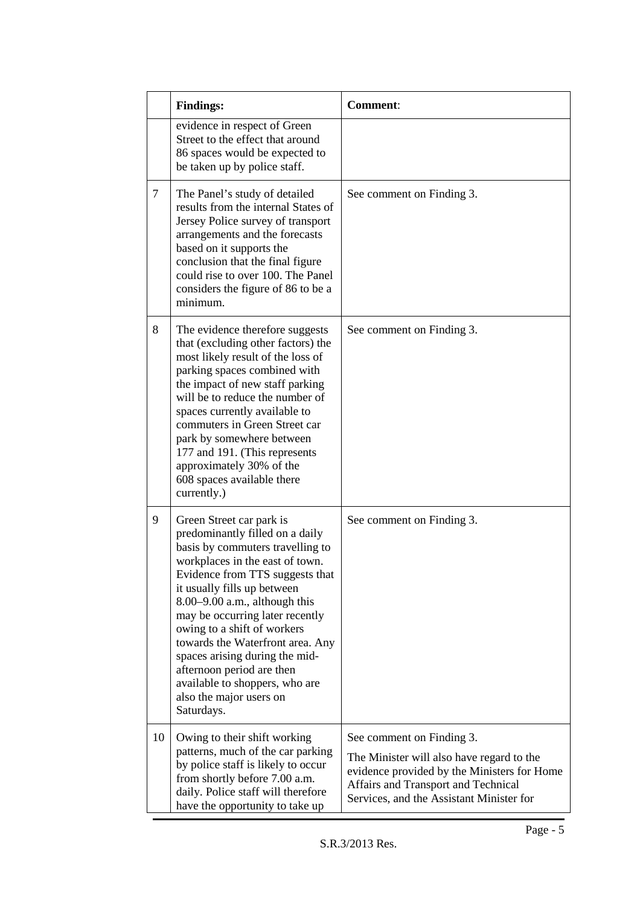|    | <b>Findings:</b>                                                                                                                                                                                                                                                                                                                                                                                                                                                                          | <b>Comment:</b>                                                                                                                                                                                          |
|----|-------------------------------------------------------------------------------------------------------------------------------------------------------------------------------------------------------------------------------------------------------------------------------------------------------------------------------------------------------------------------------------------------------------------------------------------------------------------------------------------|----------------------------------------------------------------------------------------------------------------------------------------------------------------------------------------------------------|
|    | evidence in respect of Green<br>Street to the effect that around<br>86 spaces would be expected to<br>be taken up by police staff.                                                                                                                                                                                                                                                                                                                                                        |                                                                                                                                                                                                          |
| 7  | The Panel's study of detailed<br>results from the internal States of<br>Jersey Police survey of transport<br>arrangements and the forecasts<br>based on it supports the<br>conclusion that the final figure<br>could rise to over 100. The Panel<br>considers the figure of 86 to be a<br>minimum.                                                                                                                                                                                        | See comment on Finding 3.                                                                                                                                                                                |
| 8  | The evidence therefore suggests<br>that (excluding other factors) the<br>most likely result of the loss of<br>parking spaces combined with<br>the impact of new staff parking<br>will be to reduce the number of<br>spaces currently available to<br>commuters in Green Street car<br>park by somewhere between<br>177 and 191. (This represents<br>approximately 30% of the<br>608 spaces available there<br>currently.)                                                                 | See comment on Finding 3.                                                                                                                                                                                |
| 9  | Green Street car park is<br>predominantly filled on a daily<br>basis by commuters travelling to<br>workplaces in the east of town.<br>Evidence from TTS suggests that<br>it usually fills up between<br>$8.00 - 9.00$ a.m., although this<br>may be occurring later recently<br>owing to a shift of workers<br>towards the Waterfront area. Any<br>spaces arising during the mid-<br>afternoon period are then<br>available to shoppers, who are<br>also the major users on<br>Saturdays. | See comment on Finding 3.                                                                                                                                                                                |
| 10 | Owing to their shift working<br>patterns, much of the car parking<br>by police staff is likely to occur<br>from shortly before 7.00 a.m.<br>daily. Police staff will therefore<br>have the opportunity to take up                                                                                                                                                                                                                                                                         | See comment on Finding 3.<br>The Minister will also have regard to the<br>evidence provided by the Ministers for Home<br>Affairs and Transport and Technical<br>Services, and the Assistant Minister for |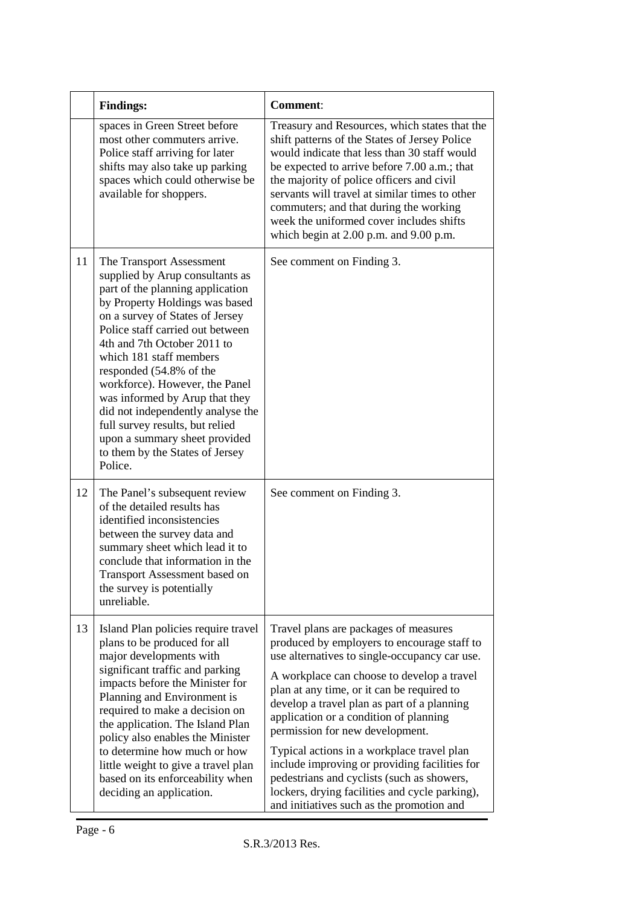|    | <b>Findings:</b>                                                                                                                                                                                                                                                                                                                                                                                                                                                                                                         | <b>Comment:</b>                                                                                                                                                                                                                                                                                                                                                                                                                                                                                                                                                                                           |
|----|--------------------------------------------------------------------------------------------------------------------------------------------------------------------------------------------------------------------------------------------------------------------------------------------------------------------------------------------------------------------------------------------------------------------------------------------------------------------------------------------------------------------------|-----------------------------------------------------------------------------------------------------------------------------------------------------------------------------------------------------------------------------------------------------------------------------------------------------------------------------------------------------------------------------------------------------------------------------------------------------------------------------------------------------------------------------------------------------------------------------------------------------------|
|    | spaces in Green Street before<br>most other commuters arrive.<br>Police staff arriving for later<br>shifts may also take up parking<br>spaces which could otherwise be<br>available for shoppers.                                                                                                                                                                                                                                                                                                                        | Treasury and Resources, which states that the<br>shift patterns of the States of Jersey Police<br>would indicate that less than 30 staff would<br>be expected to arrive before 7.00 a.m.; that<br>the majority of police officers and civil<br>servants will travel at similar times to other<br>commuters; and that during the working<br>week the uniformed cover includes shifts<br>which begin at $2.00$ p.m. and $9.00$ p.m.                                                                                                                                                                         |
| 11 | The Transport Assessment<br>supplied by Arup consultants as<br>part of the planning application<br>by Property Holdings was based<br>on a survey of States of Jersey<br>Police staff carried out between<br>4th and 7th October 2011 to<br>which 181 staff members<br>responded (54.8% of the<br>workforce). However, the Panel<br>was informed by Arup that they<br>did not independently analyse the<br>full survey results, but relied<br>upon a summary sheet provided<br>to them by the States of Jersey<br>Police. | See comment on Finding 3.                                                                                                                                                                                                                                                                                                                                                                                                                                                                                                                                                                                 |
| 12 | The Panel's subsequent review<br>of the detailed results has<br>identified inconsistencies<br>between the survey data and<br>summary sheet which lead it to<br>conclude that information in the<br><b>Transport Assessment based on</b><br>the survey is potentially<br>unreliable.                                                                                                                                                                                                                                      | See comment on Finding 3.                                                                                                                                                                                                                                                                                                                                                                                                                                                                                                                                                                                 |
| 13 | Island Plan policies require travel<br>plans to be produced for all<br>major developments with<br>significant traffic and parking<br>impacts before the Minister for<br>Planning and Environment is<br>required to make a decision on<br>the application. The Island Plan<br>policy also enables the Minister<br>to determine how much or how<br>little weight to give a travel plan<br>based on its enforceability when<br>deciding an application.                                                                     | Travel plans are packages of measures<br>produced by employers to encourage staff to<br>use alternatives to single-occupancy car use.<br>A workplace can choose to develop a travel<br>plan at any time, or it can be required to<br>develop a travel plan as part of a planning<br>application or a condition of planning<br>permission for new development.<br>Typical actions in a workplace travel plan<br>include improving or providing facilities for<br>pedestrians and cyclists (such as showers,<br>lockers, drying facilities and cycle parking),<br>and initiatives such as the promotion and |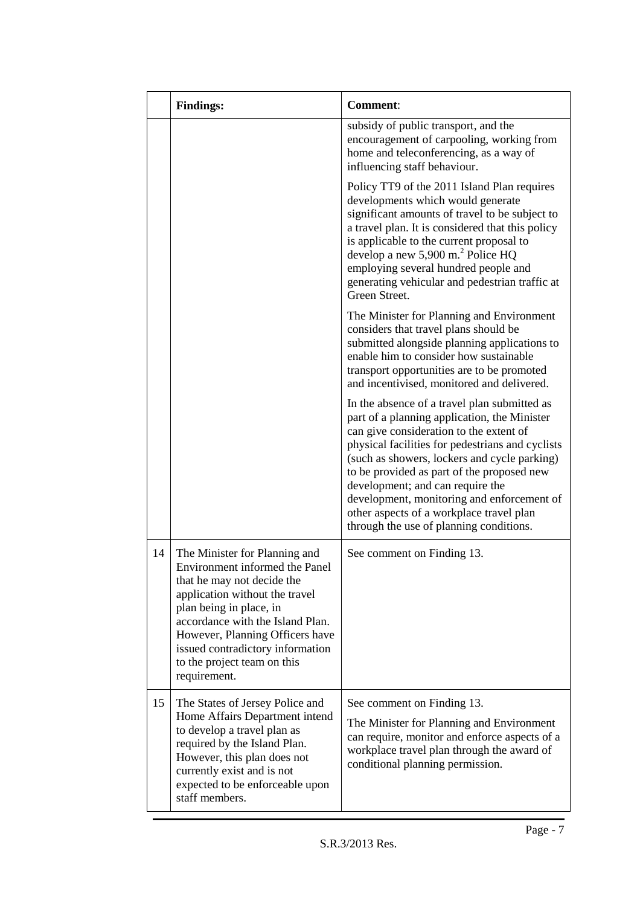|    | <b>Findings:</b>                                                                                                                                                                                                                                                                                                     | <b>Comment:</b>                                                                                                                                                                                                                                                                                                                                                                                                                                                    |  |  |
|----|----------------------------------------------------------------------------------------------------------------------------------------------------------------------------------------------------------------------------------------------------------------------------------------------------------------------|--------------------------------------------------------------------------------------------------------------------------------------------------------------------------------------------------------------------------------------------------------------------------------------------------------------------------------------------------------------------------------------------------------------------------------------------------------------------|--|--|
|    |                                                                                                                                                                                                                                                                                                                      | subsidy of public transport, and the<br>encouragement of carpooling, working from<br>home and teleconferencing, as a way of<br>influencing staff behaviour.                                                                                                                                                                                                                                                                                                        |  |  |
|    |                                                                                                                                                                                                                                                                                                                      | Policy TT9 of the 2011 Island Plan requires<br>developments which would generate<br>significant amounts of travel to be subject to<br>a travel plan. It is considered that this policy<br>is applicable to the current proposal to<br>develop a new 5,900 m. <sup>2</sup> Police HQ<br>employing several hundred people and<br>generating vehicular and pedestrian traffic at<br>Green Street.                                                                     |  |  |
|    |                                                                                                                                                                                                                                                                                                                      | The Minister for Planning and Environment<br>considers that travel plans should be<br>submitted alongside planning applications to<br>enable him to consider how sustainable<br>transport opportunities are to be promoted<br>and incentivised, monitored and delivered.                                                                                                                                                                                           |  |  |
|    |                                                                                                                                                                                                                                                                                                                      | In the absence of a travel plan submitted as<br>part of a planning application, the Minister<br>can give consideration to the extent of<br>physical facilities for pedestrians and cyclists<br>(such as showers, lockers and cycle parking)<br>to be provided as part of the proposed new<br>development; and can require the<br>development, monitoring and enforcement of<br>other aspects of a workplace travel plan<br>through the use of planning conditions. |  |  |
| 14 | The Minister for Planning and<br>Environment informed the Panel<br>that he may not decide the<br>application without the travel<br>plan being in place, in<br>accordance with the Island Plan.<br>However, Planning Officers have<br>issued contradictory information<br>to the project team on this<br>requirement. | See comment on Finding 13.                                                                                                                                                                                                                                                                                                                                                                                                                                         |  |  |
| 15 | The States of Jersey Police and<br>Home Affairs Department intend<br>to develop a travel plan as<br>required by the Island Plan.<br>However, this plan does not<br>currently exist and is not<br>expected to be enforceable upon<br>staff members.                                                                   | See comment on Finding 13.<br>The Minister for Planning and Environment<br>can require, monitor and enforce aspects of a<br>workplace travel plan through the award of<br>conditional planning permission.                                                                                                                                                                                                                                                         |  |  |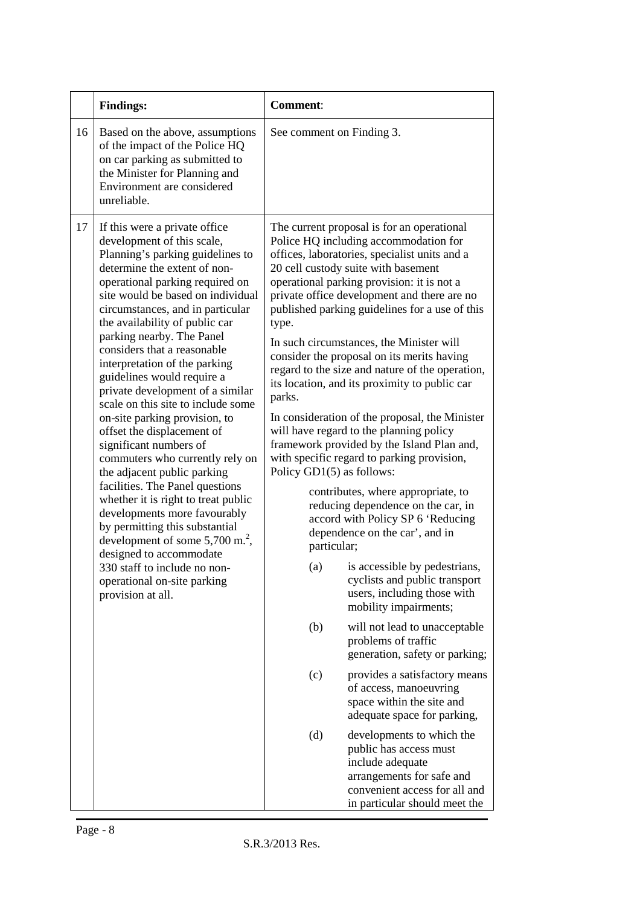|    | <b>Findings:</b>                                                                                                                                                                                                                                                                                                                                                                                                                                                                                                                                                                                                                                                                                                                                                                                                                                                                                                                                          | <b>Comment:</b>                                                                                                                                                                                                                                                                                                                                                                                                                                                                                                                                                                                                                                                                                                                                                                                                                                                                                                                                                                                                                                                                                                                                                                                                                                                                                                                                                                                                                                                                      |  |
|----|-----------------------------------------------------------------------------------------------------------------------------------------------------------------------------------------------------------------------------------------------------------------------------------------------------------------------------------------------------------------------------------------------------------------------------------------------------------------------------------------------------------------------------------------------------------------------------------------------------------------------------------------------------------------------------------------------------------------------------------------------------------------------------------------------------------------------------------------------------------------------------------------------------------------------------------------------------------|--------------------------------------------------------------------------------------------------------------------------------------------------------------------------------------------------------------------------------------------------------------------------------------------------------------------------------------------------------------------------------------------------------------------------------------------------------------------------------------------------------------------------------------------------------------------------------------------------------------------------------------------------------------------------------------------------------------------------------------------------------------------------------------------------------------------------------------------------------------------------------------------------------------------------------------------------------------------------------------------------------------------------------------------------------------------------------------------------------------------------------------------------------------------------------------------------------------------------------------------------------------------------------------------------------------------------------------------------------------------------------------------------------------------------------------------------------------------------------------|--|
| 16 | Based on the above, assumptions<br>of the impact of the Police HQ<br>on car parking as submitted to<br>the Minister for Planning and<br>Environment are considered<br>unreliable.                                                                                                                                                                                                                                                                                                                                                                                                                                                                                                                                                                                                                                                                                                                                                                         | See comment on Finding 3.                                                                                                                                                                                                                                                                                                                                                                                                                                                                                                                                                                                                                                                                                                                                                                                                                                                                                                                                                                                                                                                                                                                                                                                                                                                                                                                                                                                                                                                            |  |
| 17 | If this were a private office<br>development of this scale,<br>Planning's parking guidelines to<br>determine the extent of non-<br>operational parking required on<br>site would be based on individual<br>circumstances, and in particular<br>the availability of public car<br>parking nearby. The Panel<br>considers that a reasonable<br>interpretation of the parking<br>guidelines would require a<br>private development of a similar<br>scale on this site to include some<br>on-site parking provision, to<br>offset the displacement of<br>significant numbers of<br>commuters who currently rely on<br>the adjacent public parking<br>facilities. The Panel questions<br>whether it is right to treat public<br>developments more favourably<br>by permitting this substantial<br>development of some $5,700$ m. <sup>2</sup> ,<br>designed to accommodate<br>330 staff to include no non-<br>operational on-site parking<br>provision at all. | The current proposal is for an operational<br>Police HQ including accommodation for<br>offices, laboratories, specialist units and a<br>20 cell custody suite with basement<br>operational parking provision: it is not a<br>private office development and there are no<br>published parking guidelines for a use of this<br>type.<br>In such circumstances, the Minister will<br>consider the proposal on its merits having<br>regard to the size and nature of the operation,<br>its location, and its proximity to public car<br>parks.<br>In consideration of the proposal, the Minister<br>will have regard to the planning policy<br>framework provided by the Island Plan and,<br>with specific regard to parking provision,<br>Policy GD1(5) as follows:<br>contributes, where appropriate, to<br>reducing dependence on the car, in<br>accord with Policy SP 6 'Reducing<br>dependence on the car', and in<br>particular;<br>is accessible by pedestrians,<br>(a)<br>cyclists and public transport<br>users, including those with<br>mobility impairments;<br>(b)<br>will not lead to unacceptable<br>problems of traffic<br>generation, safety or parking;<br>(c)<br>provides a satisfactory means<br>of access, manoeuvring<br>space within the site and<br>adequate space for parking,<br>(d)<br>developments to which the<br>public has access must<br>include adequate<br>arrangements for safe and<br>convenient access for all and<br>in particular should meet the |  |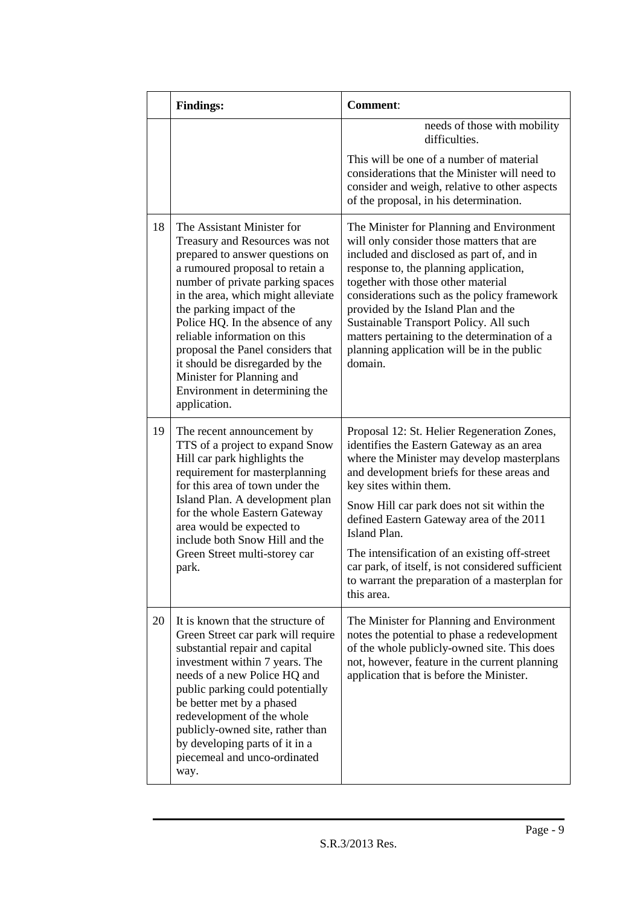|    | <b>Findings:</b>                                                                                                                                                                                                                                                                                                                                                                                                                                                     | <b>Comment:</b>                                                                                                                                                                                                                                                                                                                                                                                                                                                                                |  |
|----|----------------------------------------------------------------------------------------------------------------------------------------------------------------------------------------------------------------------------------------------------------------------------------------------------------------------------------------------------------------------------------------------------------------------------------------------------------------------|------------------------------------------------------------------------------------------------------------------------------------------------------------------------------------------------------------------------------------------------------------------------------------------------------------------------------------------------------------------------------------------------------------------------------------------------------------------------------------------------|--|
|    |                                                                                                                                                                                                                                                                                                                                                                                                                                                                      | needs of those with mobility<br>difficulties.                                                                                                                                                                                                                                                                                                                                                                                                                                                  |  |
|    |                                                                                                                                                                                                                                                                                                                                                                                                                                                                      | This will be one of a number of material<br>considerations that the Minister will need to<br>consider and weigh, relative to other aspects<br>of the proposal, in his determination.                                                                                                                                                                                                                                                                                                           |  |
| 18 | The Assistant Minister for<br>Treasury and Resources was not<br>prepared to answer questions on<br>a rumoured proposal to retain a<br>number of private parking spaces<br>in the area, which might alleviate<br>the parking impact of the<br>Police HQ. In the absence of any<br>reliable information on this<br>proposal the Panel considers that<br>it should be disregarded by the<br>Minister for Planning and<br>Environment in determining the<br>application. | The Minister for Planning and Environment<br>will only consider those matters that are<br>included and disclosed as part of, and in<br>response to, the planning application,<br>together with those other material<br>considerations such as the policy framework<br>provided by the Island Plan and the<br>Sustainable Transport Policy. All such<br>matters pertaining to the determination of a<br>planning application will be in the public<br>domain.                                   |  |
| 19 | The recent announcement by<br>TTS of a project to expand Snow<br>Hill car park highlights the<br>requirement for masterplanning<br>for this area of town under the<br>Island Plan. A development plan<br>for the whole Eastern Gateway<br>area would be expected to<br>include both Snow Hill and the<br>Green Street multi-storey car<br>park.                                                                                                                      | Proposal 12: St. Helier Regeneration Zones,<br>identifies the Eastern Gateway as an area<br>where the Minister may develop masterplans<br>and development briefs for these areas and<br>key sites within them.<br>Snow Hill car park does not sit within the<br>defined Eastern Gateway area of the 2011<br>Island Plan.<br>The intensification of an existing off-street<br>car park, of itself, is not considered sufficient<br>to warrant the preparation of a masterplan for<br>this area. |  |
| 20 | It is known that the structure of<br>Green Street car park will require<br>substantial repair and capital<br>investment within 7 years. The<br>needs of a new Police HQ and<br>public parking could potentially<br>be better met by a phased<br>redevelopment of the whole<br>publicly-owned site, rather than<br>by developing parts of it in a<br>piecemeal and unco-ordinated<br>way.                                                                             | The Minister for Planning and Environment<br>notes the potential to phase a redevelopment<br>of the whole publicly-owned site. This does<br>not, however, feature in the current planning<br>application that is before the Minister.                                                                                                                                                                                                                                                          |  |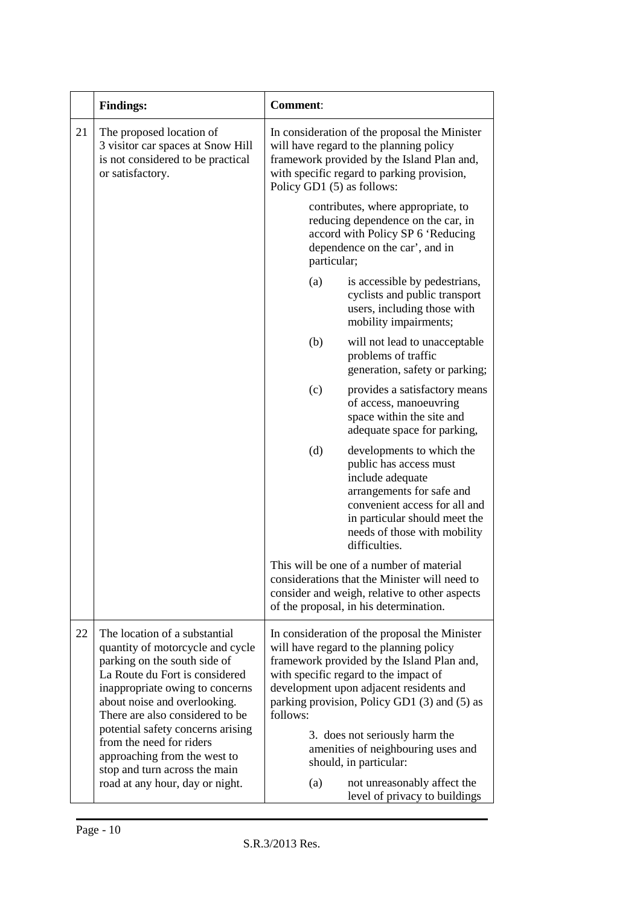|    | <b>Findings:</b>                                                                                                                                                                                                                                                                                           | <b>Comment:</b>                                                                                                                                                                                                                                                                                                                                                |
|----|------------------------------------------------------------------------------------------------------------------------------------------------------------------------------------------------------------------------------------------------------------------------------------------------------------|----------------------------------------------------------------------------------------------------------------------------------------------------------------------------------------------------------------------------------------------------------------------------------------------------------------------------------------------------------------|
| 21 | The proposed location of<br>3 visitor car spaces at Snow Hill<br>is not considered to be practical<br>or satisfactory.                                                                                                                                                                                     | In consideration of the proposal the Minister<br>will have regard to the planning policy<br>framework provided by the Island Plan and,<br>with specific regard to parking provision,<br>Policy GD1 (5) as follows:                                                                                                                                             |
|    |                                                                                                                                                                                                                                                                                                            | contributes, where appropriate, to<br>reducing dependence on the car, in<br>accord with Policy SP 6 'Reducing<br>dependence on the car', and in<br>particular;                                                                                                                                                                                                 |
|    |                                                                                                                                                                                                                                                                                                            | is accessible by pedestrians,<br>(a)<br>cyclists and public transport<br>users, including those with<br>mobility impairments;                                                                                                                                                                                                                                  |
|    |                                                                                                                                                                                                                                                                                                            | (b)<br>will not lead to unacceptable<br>problems of traffic<br>generation, safety or parking;                                                                                                                                                                                                                                                                  |
|    |                                                                                                                                                                                                                                                                                                            | (c)<br>provides a satisfactory means<br>of access, manoeuvring<br>space within the site and<br>adequate space for parking,                                                                                                                                                                                                                                     |
|    |                                                                                                                                                                                                                                                                                                            | (d)<br>developments to which the<br>public has access must<br>include adequate<br>arrangements for safe and<br>convenient access for all and<br>in particular should meet the<br>needs of those with mobility<br>difficulties.                                                                                                                                 |
|    |                                                                                                                                                                                                                                                                                                            | This will be one of a number of material<br>considerations that the Minister will need to<br>consider and weigh, relative to other aspects<br>of the proposal, in his determination.                                                                                                                                                                           |
| 22 | The location of a substantial<br>quantity of motorcycle and cycle<br>parking on the south side of<br>La Route du Fort is considered<br>inappropriate owing to concerns<br>about noise and overlooking.<br>There are also considered to be<br>potential safety concerns arising<br>from the need for riders | In consideration of the proposal the Minister<br>will have regard to the planning policy<br>framework provided by the Island Plan and,<br>with specific regard to the impact of<br>development upon adjacent residents and<br>parking provision, Policy GD1 (3) and (5) as<br>follows:<br>3. does not seriously harm the<br>amenities of neighbouring uses and |
|    | approaching from the west to<br>stop and turn across the main<br>road at any hour, day or night.                                                                                                                                                                                                           | should, in particular:<br>(a)<br>not unreasonably affect the<br>level of privacy to buildings                                                                                                                                                                                                                                                                  |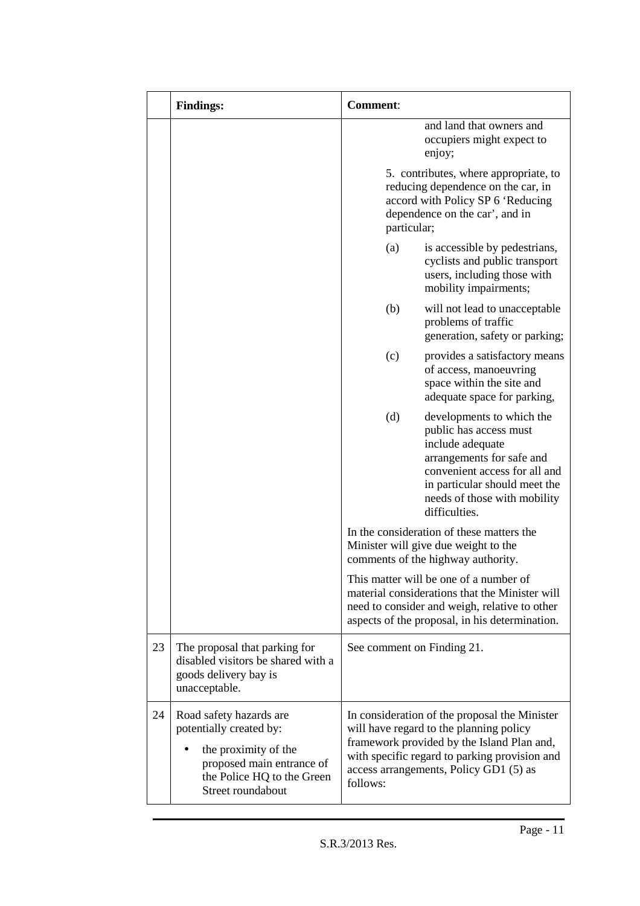|    | <b>Findings:</b>                                                                                                                                           | <b>Comment:</b>            |                                                                                                                                                                                                                                   |
|----|------------------------------------------------------------------------------------------------------------------------------------------------------------|----------------------------|-----------------------------------------------------------------------------------------------------------------------------------------------------------------------------------------------------------------------------------|
|    |                                                                                                                                                            |                            | and land that owners and<br>occupiers might expect to<br>enjoy;                                                                                                                                                                   |
|    |                                                                                                                                                            | particular;                | 5. contributes, where appropriate, to<br>reducing dependence on the car, in<br>accord with Policy SP 6 'Reducing<br>dependence on the car', and in                                                                                |
|    |                                                                                                                                                            | (a)                        | is accessible by pedestrians,<br>cyclists and public transport<br>users, including those with<br>mobility impairments;                                                                                                            |
|    |                                                                                                                                                            | (b)                        | will not lead to unacceptable<br>problems of traffic<br>generation, safety or parking;                                                                                                                                            |
|    |                                                                                                                                                            | (c)                        | provides a satisfactory means<br>of access, manoeuvring<br>space within the site and<br>adequate space for parking,                                                                                                               |
|    |                                                                                                                                                            | (d)                        | developments to which the<br>public has access must<br>include adequate<br>arrangements for safe and<br>convenient access for all and<br>in particular should meet the<br>needs of those with mobility<br>difficulties.           |
|    |                                                                                                                                                            |                            | In the consideration of these matters the<br>Minister will give due weight to the<br>comments of the highway authority.                                                                                                           |
|    |                                                                                                                                                            |                            | This matter will be one of a number of<br>material considerations that the Minister will<br>need to consider and weigh, relative to other<br>aspects of the proposal, in his determination.                                       |
| 23 | The proposal that parking for<br>disabled visitors be shared with a<br>goods delivery bay is<br>unacceptable.                                              | See comment on Finding 21. |                                                                                                                                                                                                                                   |
| 24 | Road safety hazards are<br>potentially created by:<br>the proximity of the<br>proposed main entrance of<br>the Police HQ to the Green<br>Street roundabout | follows:                   | In consideration of the proposal the Minister<br>will have regard to the planning policy<br>framework provided by the Island Plan and,<br>with specific regard to parking provision and<br>access arrangements, Policy GD1 (5) as |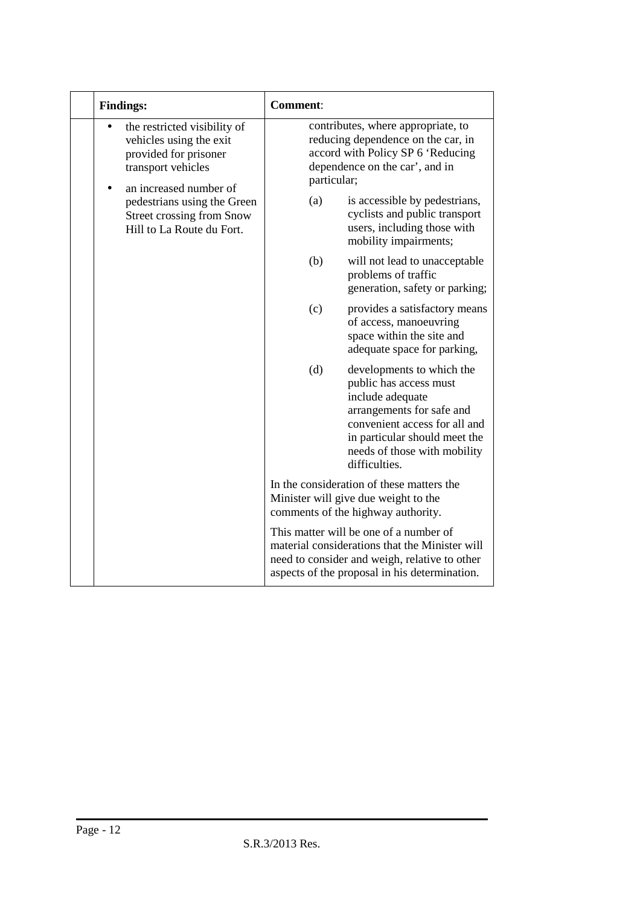| <b>Findings:</b>                                                                                                                 | <b>Comment:</b>                                                                                                                                                                                                                |  |  |
|----------------------------------------------------------------------------------------------------------------------------------|--------------------------------------------------------------------------------------------------------------------------------------------------------------------------------------------------------------------------------|--|--|
| the restricted visibility of<br>vehicles using the exit<br>provided for prisoner<br>transport vehicles<br>an increased number of | contributes, where appropriate, to<br>reducing dependence on the car, in<br>accord with Policy SP 6 'Reducing<br>dependence on the car', and in<br>particular;                                                                 |  |  |
| pedestrians using the Green<br><b>Street crossing from Snow</b><br>Hill to La Route du Fort.                                     | (a)<br>is accessible by pedestrians,<br>cyclists and public transport<br>users, including those with<br>mobility impairments;                                                                                                  |  |  |
|                                                                                                                                  | (b)<br>will not lead to unacceptable<br>problems of traffic<br>generation, safety or parking;                                                                                                                                  |  |  |
|                                                                                                                                  | (c)<br>provides a satisfactory means<br>of access, manoeuvring<br>space within the site and<br>adequate space for parking,                                                                                                     |  |  |
|                                                                                                                                  | (d)<br>developments to which the<br>public has access must<br>include adequate<br>arrangements for safe and<br>convenient access for all and<br>in particular should meet the<br>needs of those with mobility<br>difficulties. |  |  |
|                                                                                                                                  | In the consideration of these matters the<br>Minister will give due weight to the<br>comments of the highway authority.                                                                                                        |  |  |
|                                                                                                                                  | This matter will be one of a number of<br>material considerations that the Minister will<br>need to consider and weigh, relative to other<br>aspects of the proposal in his determination.                                     |  |  |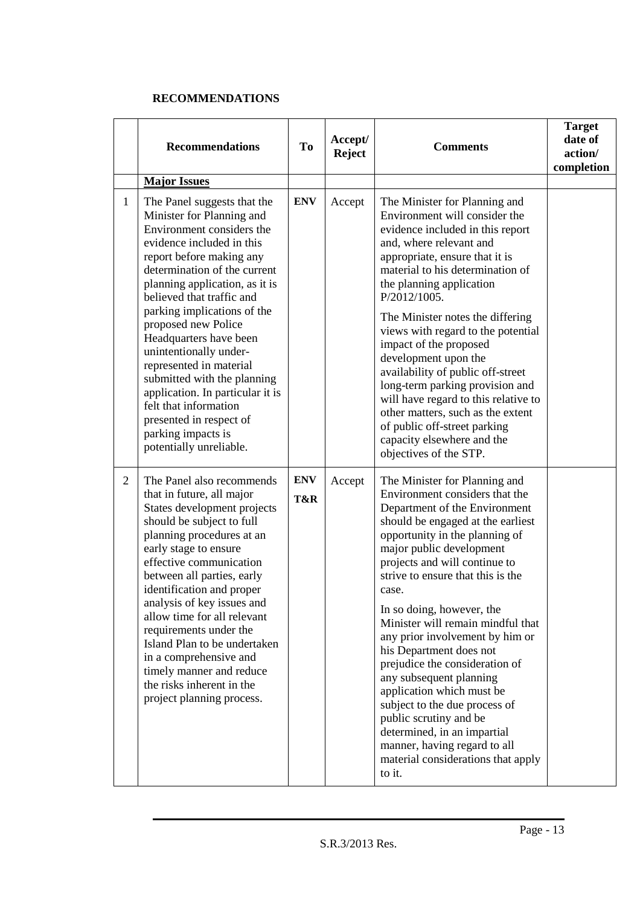### **RECOMMENDATIONS**

|                | <b>Recommendations</b>                                                                                                                                                                                                                                                                                                                                                                                                                                                                                                                                     | To                | Accept/<br><b>Reject</b> | <b>Comments</b>                                                                                                                                                                                                                                                                                                                                                                                                                                                                                                                                                                                                                                                                        | <b>Target</b><br>date of<br>action/<br>completion |
|----------------|------------------------------------------------------------------------------------------------------------------------------------------------------------------------------------------------------------------------------------------------------------------------------------------------------------------------------------------------------------------------------------------------------------------------------------------------------------------------------------------------------------------------------------------------------------|-------------------|--------------------------|----------------------------------------------------------------------------------------------------------------------------------------------------------------------------------------------------------------------------------------------------------------------------------------------------------------------------------------------------------------------------------------------------------------------------------------------------------------------------------------------------------------------------------------------------------------------------------------------------------------------------------------------------------------------------------------|---------------------------------------------------|
|                | <b>Major Issues</b>                                                                                                                                                                                                                                                                                                                                                                                                                                                                                                                                        |                   |                          |                                                                                                                                                                                                                                                                                                                                                                                                                                                                                                                                                                                                                                                                                        |                                                   |
| $\mathbf{1}$   | The Panel suggests that the<br>Minister for Planning and<br>Environment considers the<br>evidence included in this<br>report before making any<br>determination of the current<br>planning application, as it is<br>believed that traffic and<br>parking implications of the<br>proposed new Police<br>Headquarters have been<br>unintentionally under-<br>represented in material<br>submitted with the planning<br>application. In particular it is<br>felt that information<br>presented in respect of<br>parking impacts is<br>potentially unreliable. | <b>ENV</b>        | Accept                   | The Minister for Planning and<br>Environment will consider the<br>evidence included in this report<br>and, where relevant and<br>appropriate, ensure that it is<br>material to his determination of<br>the planning application<br>P/2012/1005.<br>The Minister notes the differing<br>views with regard to the potential<br>impact of the proposed<br>development upon the<br>availability of public off-street<br>long-term parking provision and<br>will have regard to this relative to<br>other matters, such as the extent<br>of public off-street parking<br>capacity elsewhere and the<br>objectives of the STP.                                                               |                                                   |
| $\overline{2}$ | The Panel also recommends<br>that in future, all major<br>States development projects<br>should be subject to full<br>planning procedures at an<br>early stage to ensure<br>effective communication<br>between all parties, early<br>identification and proper<br>analysis of key issues and<br>allow time for all relevant<br>requirements under the<br>Island Plan to be undertaken<br>in a comprehensive and<br>timely manner and reduce<br>the risks inherent in the<br>project planning process.                                                      | <b>ENV</b><br>T&R | Accept                   | The Minister for Planning and<br>Environment considers that the<br>Department of the Environment<br>should be engaged at the earliest<br>opportunity in the planning of<br>major public development<br>projects and will continue to<br>strive to ensure that this is the<br>case.<br>In so doing, however, the<br>Minister will remain mindful that<br>any prior involvement by him or<br>his Department does not<br>prejudice the consideration of<br>any subsequent planning<br>application which must be<br>subject to the due process of<br>public scrutiny and be<br>determined, in an impartial<br>manner, having regard to all<br>material considerations that apply<br>to it. |                                                   |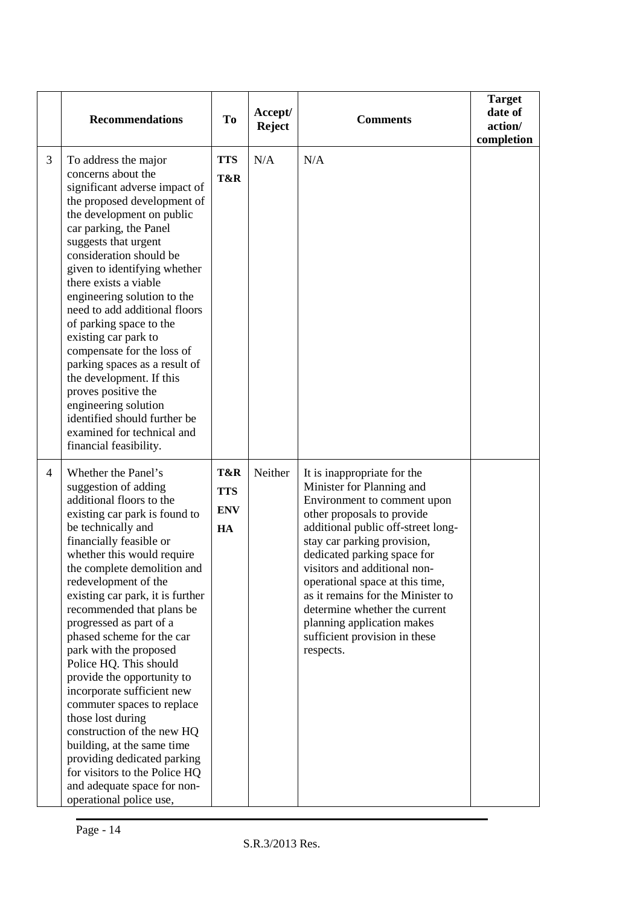|                | <b>Recommendations</b>                                                                                                                                                                                                                                                                                                                                                                                                                                                                                                                                                                                                                                                                                                           | <b>To</b>                             | Accept/<br><b>Reject</b> | <b>Comments</b>                                                                                                                                                                                                                                                                                                                                                                                                                                | <b>Target</b><br>date of<br>action/<br>completion |
|----------------|----------------------------------------------------------------------------------------------------------------------------------------------------------------------------------------------------------------------------------------------------------------------------------------------------------------------------------------------------------------------------------------------------------------------------------------------------------------------------------------------------------------------------------------------------------------------------------------------------------------------------------------------------------------------------------------------------------------------------------|---------------------------------------|--------------------------|------------------------------------------------------------------------------------------------------------------------------------------------------------------------------------------------------------------------------------------------------------------------------------------------------------------------------------------------------------------------------------------------------------------------------------------------|---------------------------------------------------|
| 3              | To address the major<br>concerns about the<br>significant adverse impact of<br>the proposed development of<br>the development on public<br>car parking, the Panel<br>suggests that urgent<br>consideration should be<br>given to identifying whether<br>there exists a viable<br>engineering solution to the<br>need to add additional floors<br>of parking space to the<br>existing car park to<br>compensate for the loss of<br>parking spaces as a result of<br>the development. If this<br>proves positive the<br>engineering solution<br>identified should further be<br>examined for technical and<br>financial feasibility.                                                                                               | <b>TTS</b><br>T&R                     | N/A                      | N/A                                                                                                                                                                                                                                                                                                                                                                                                                                            |                                                   |
| $\overline{4}$ | Whether the Panel's<br>suggestion of adding<br>additional floors to the<br>existing car park is found to<br>be technically and<br>financially feasible or<br>whether this would require<br>the complete demolition and<br>redevelopment of the<br>existing car park, it is further<br>recommended that plans be<br>progressed as part of a<br>phased scheme for the car<br>park with the proposed<br>Police HQ. This should<br>provide the opportunity to<br>incorporate sufficient new<br>commuter spaces to replace<br>those lost during<br>construction of the new HQ<br>building, at the same time<br>providing dedicated parking<br>for visitors to the Police HQ<br>and adequate space for non-<br>operational police use, | T&R<br><b>TTS</b><br><b>ENV</b><br>HA | Neither                  | It is inappropriate for the<br>Minister for Planning and<br>Environment to comment upon<br>other proposals to provide<br>additional public off-street long-<br>stay car parking provision,<br>dedicated parking space for<br>visitors and additional non-<br>operational space at this time,<br>as it remains for the Minister to<br>determine whether the current<br>planning application makes<br>sufficient provision in these<br>respects. |                                                   |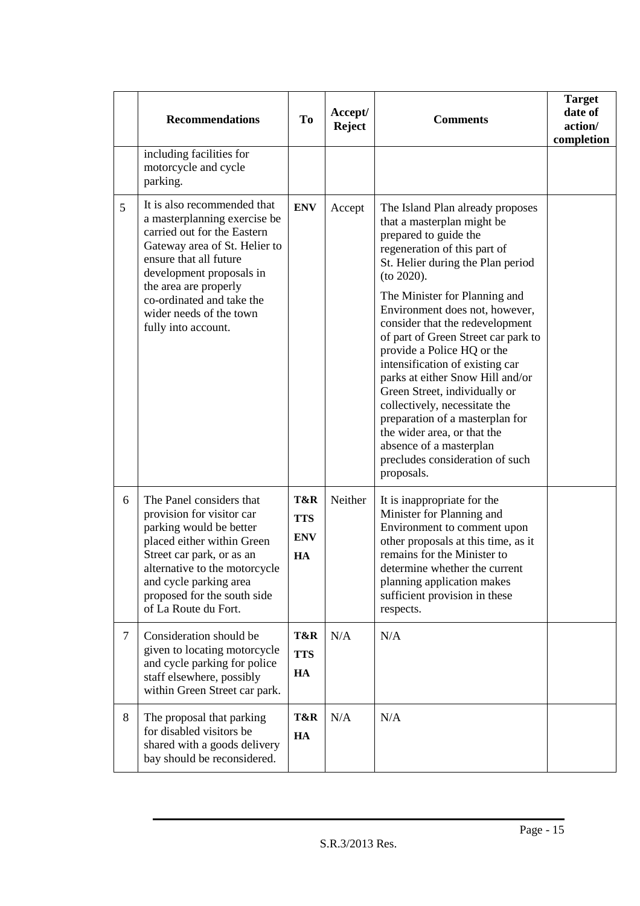|        | <b>Recommendations</b>                                                                                                                                                                                                                                        | T <sub>0</sub>                        | Accept/<br><b>Reject</b> | <b>Comments</b>                                                                                                                                                                                                                                                                                                                                                                                                                                                | <b>Target</b><br>date of<br>action/<br>completion |
|--------|---------------------------------------------------------------------------------------------------------------------------------------------------------------------------------------------------------------------------------------------------------------|---------------------------------------|--------------------------|----------------------------------------------------------------------------------------------------------------------------------------------------------------------------------------------------------------------------------------------------------------------------------------------------------------------------------------------------------------------------------------------------------------------------------------------------------------|---------------------------------------------------|
|        | including facilities for<br>motorcycle and cycle<br>parking.                                                                                                                                                                                                  |                                       |                          |                                                                                                                                                                                                                                                                                                                                                                                                                                                                |                                                   |
| 5      | It is also recommended that<br>a masterplanning exercise be<br>carried out for the Eastern<br>Gateway area of St. Helier to<br>ensure that all future<br>development proposals in                                                                             | <b>ENV</b>                            | Accept                   | The Island Plan already proposes<br>that a masterplan might be<br>prepared to guide the<br>regeneration of this part of<br>St. Helier during the Plan period<br>(to 2020).                                                                                                                                                                                                                                                                                     |                                                   |
|        | the area are properly<br>co-ordinated and take the<br>wider needs of the town<br>fully into account.                                                                                                                                                          |                                       |                          | The Minister for Planning and<br>Environment does not, however,<br>consider that the redevelopment<br>of part of Green Street car park to<br>provide a Police HQ or the<br>intensification of existing car<br>parks at either Snow Hill and/or<br>Green Street, individually or<br>collectively, necessitate the<br>preparation of a masterplan for<br>the wider area, or that the<br>absence of a masterplan<br>precludes consideration of such<br>proposals. |                                                   |
| 6      | The Panel considers that<br>provision for visitor car<br>parking would be better<br>placed either within Green<br>Street car park, or as an<br>alternative to the motorcycle<br>and cycle parking area<br>proposed for the south side<br>of La Route du Fort. | T&R<br><b>TTS</b><br><b>ENV</b><br>HA | Neither                  | It is inappropriate for the<br>Minister for Planning and<br>Environment to comment upon<br>other proposals at this time, as it<br>remains for the Minister to<br>determine whether the current<br>planning application makes<br>sufficient provision in these<br>respects.                                                                                                                                                                                     |                                                   |
| $\tau$ | Consideration should be<br>given to locating motorcycle<br>and cycle parking for police<br>staff elsewhere, possibly<br>within Green Street car park.                                                                                                         | T&R<br><b>TTS</b><br>HA               | N/A                      | N/A                                                                                                                                                                                                                                                                                                                                                                                                                                                            |                                                   |
| 8      | The proposal that parking<br>for disabled visitors be<br>shared with a goods delivery<br>bay should be reconsidered.                                                                                                                                          | T&R<br>HA                             | N/A                      | N/A                                                                                                                                                                                                                                                                                                                                                                                                                                                            |                                                   |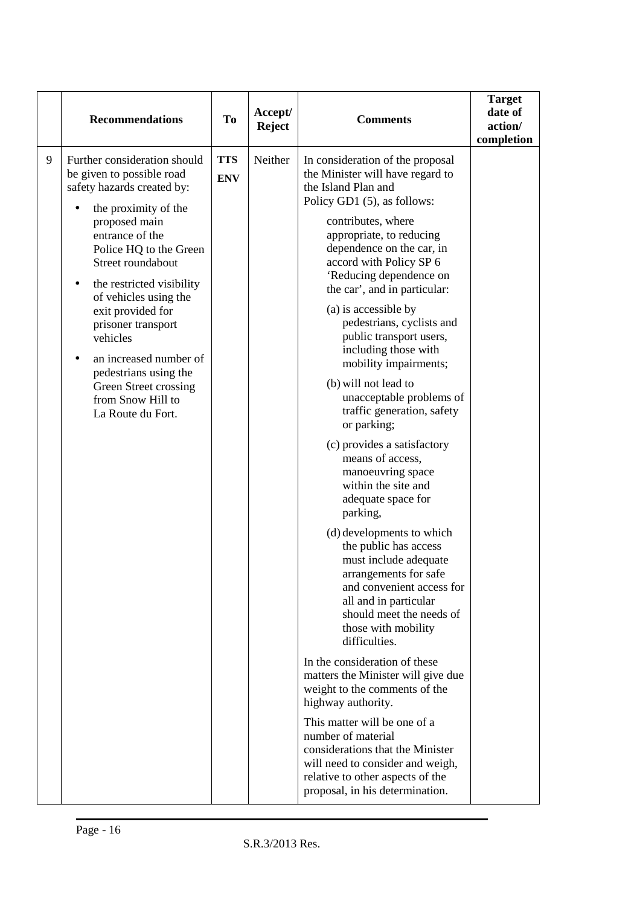|   | <b>Recommendations</b>                                                                                                                                                                                                                                                                                                                                                                                                                | <b>To</b>                | Accept/<br><b>Reject</b> | <b>Comments</b>                                                                                                                                                                                                                                                                                                                                                                                                                                                                                                                                                                                                                                                                                                                                                                                                                                                                                                                                                                                                                                                                                                                                                                                                                         | <b>Target</b><br>date of<br>action/<br>completion |
|---|---------------------------------------------------------------------------------------------------------------------------------------------------------------------------------------------------------------------------------------------------------------------------------------------------------------------------------------------------------------------------------------------------------------------------------------|--------------------------|--------------------------|-----------------------------------------------------------------------------------------------------------------------------------------------------------------------------------------------------------------------------------------------------------------------------------------------------------------------------------------------------------------------------------------------------------------------------------------------------------------------------------------------------------------------------------------------------------------------------------------------------------------------------------------------------------------------------------------------------------------------------------------------------------------------------------------------------------------------------------------------------------------------------------------------------------------------------------------------------------------------------------------------------------------------------------------------------------------------------------------------------------------------------------------------------------------------------------------------------------------------------------------|---------------------------------------------------|
| 9 | Further consideration should<br>be given to possible road<br>safety hazards created by:<br>the proximity of the<br>proposed main<br>entrance of the<br>Police HQ to the Green<br>Street roundabout<br>the restricted visibility<br>of vehicles using the<br>exit provided for<br>prisoner transport<br>vehicles<br>an increased number of<br>pedestrians using the<br>Green Street crossing<br>from Snow Hill to<br>La Route du Fort. | <b>TTS</b><br><b>ENV</b> | Neither                  | In consideration of the proposal<br>the Minister will have regard to<br>the Island Plan and<br>Policy GD1 (5), as follows:<br>contributes, where<br>appropriate, to reducing<br>dependence on the car, in<br>accord with Policy SP 6<br>'Reducing dependence on<br>the car', and in particular:<br>(a) is accessible by<br>pedestrians, cyclists and<br>public transport users,<br>including those with<br>mobility impairments;<br>(b) will not lead to<br>unacceptable problems of<br>traffic generation, safety<br>or parking;<br>(c) provides a satisfactory<br>means of access,<br>manoeuvring space<br>within the site and<br>adequate space for<br>parking,<br>(d) developments to which<br>the public has access<br>must include adequate<br>arrangements for safe<br>and convenient access for<br>all and in particular<br>should meet the needs of<br>those with mobility<br>difficulties.<br>In the consideration of these<br>matters the Minister will give due<br>weight to the comments of the<br>highway authority.<br>This matter will be one of a<br>number of material<br>considerations that the Minister<br>will need to consider and weigh,<br>relative to other aspects of the<br>proposal, in his determination. |                                                   |